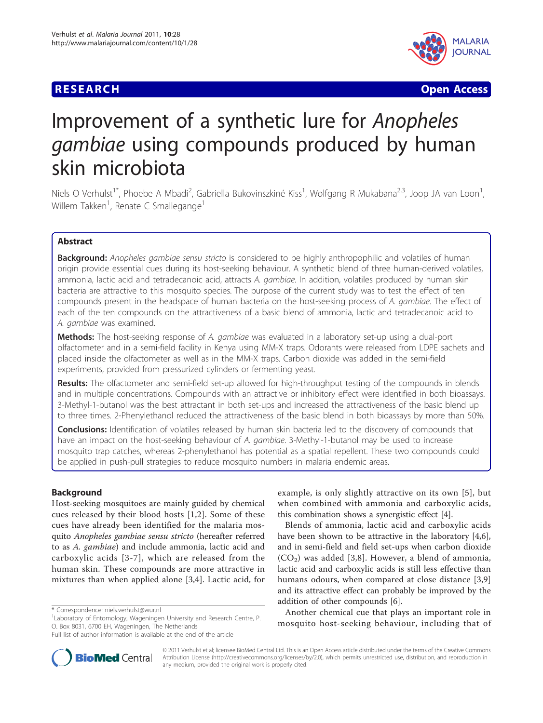## **RESEARCH CHRISTIAN CONSUMING CONTRACT CONSUMING CONSUMING CONSUMING CONSUMING CONSUMING CONSUMING CONSUMING CO**



# Improvement of a synthetic lure for Anopheles gambiae using compounds produced by human skin microbiota

Niels O Verhulst<sup>1\*</sup>, Phoebe A Mbadi<sup>2</sup>, Gabriella Bukovinszkiné Kiss<sup>1</sup>, Wolfgang R Mukabana<sup>2,3</sup>, Joop JA van Loon<sup>1</sup> , Willem Takken<sup>1</sup>, Renate C Smallegange<sup>1</sup>

## Abstract

**Background:** Anopheles gambiae sensu stricto is considered to be highly anthropophilic and volatiles of human origin provide essential cues during its host-seeking behaviour. A synthetic blend of three human-derived volatiles, ammonia, lactic acid and tetradecanoic acid, attracts A. *gambiae*. In addition, volatiles produced by human skin bacteria are attractive to this mosquito species. The purpose of the current study was to test the effect of ten compounds present in the headspace of human bacteria on the host-seeking process of A. gambiae. The effect of each of the ten compounds on the attractiveness of a basic blend of ammonia, lactic and tetradecanoic acid to A. gambiae was examined.

**Methods:** The host-seeking response of A. *gambiae* was evaluated in a laboratory set-up using a dual-port olfactometer and in a semi-field facility in Kenya using MM-X traps. Odorants were released from LDPE sachets and placed inside the olfactometer as well as in the MM-X traps. Carbon dioxide was added in the semi-field experiments, provided from pressurized cylinders or fermenting yeast.

Results: The olfactometer and semi-field set-up allowed for high-throughput testing of the compounds in blends and in multiple concentrations. Compounds with an attractive or inhibitory effect were identified in both bioassays. 3-Methyl-1-butanol was the best attractant in both set-ups and increased the attractiveness of the basic blend up to three times. 2-Phenylethanol reduced the attractiveness of the basic blend in both bioassays by more than 50%.

**Conclusions:** Identification of volatiles released by human skin bacteria led to the discovery of compounds that have an impact on the host-seeking behaviour of A. gambiae. 3-Methyl-1-butanol may be used to increase mosquito trap catches, whereas 2-phenylethanol has potential as a spatial repellent. These two compounds could be applied in push-pull strategies to reduce mosquito numbers in malaria endemic areas.

## Background

Host-seeking mosquitoes are mainly guided by chemical cues released by their blood hosts [[1,2](#page-7-0)]. Some of these cues have already been identified for the malaria mosquito Anopheles gambiae sensu stricto (hereafter referred to as A. gambiae) and include ammonia, lactic acid and carboxylic acids [[3](#page-7-0)-[7\]](#page-7-0), which are released from the human skin. These compounds are more attractive in mixtures than when applied alone [[3,4\]](#page-7-0). Lactic acid, for

example, is only slightly attractive on its own [[5](#page-7-0)], but when combined with ammonia and carboxylic acids, this combination shows a synergistic effect [[4\]](#page-7-0).

Blends of ammonia, lactic acid and carboxylic acids have been shown to be attractive in the laboratory [\[4,6](#page-7-0)], and in semi-field and field set-ups when carbon dioxide  $(CO<sub>2</sub>)$  was added [[3,8](#page-7-0)]. However, a blend of ammonia, lactic acid and carboxylic acids is still less effective than humans odours, when compared at close distance [[3,9](#page-7-0)] and its attractive effect can probably be improved by the addition of other compounds [\[6](#page-7-0)].

Another chemical cue that plays an important role in mosquito host-seeking behaviour, including that of



© 2011 Verhulst et al; licensee BioMed Central Ltd. This is an Open Access article distributed under the terms of the Creative Commons Attribution License [\(http://creativecommons.org/licenses/by/2.0](http://creativecommons.org/licenses/by/2.0)), which permits unrestricted use, distribution, and reproduction in any medium, provided the original work is properly cited.

<sup>\*</sup> Correspondence: [niels.verhulst@wur.nl](mailto:niels.verhulst@wur.nl)

<sup>&</sup>lt;sup>1</sup> Laboratory of Entomology, Wageningen University and Research Centre, P. O. Box 8031, 6700 EH, Wageningen, The Netherlands

Full list of author information is available at the end of the article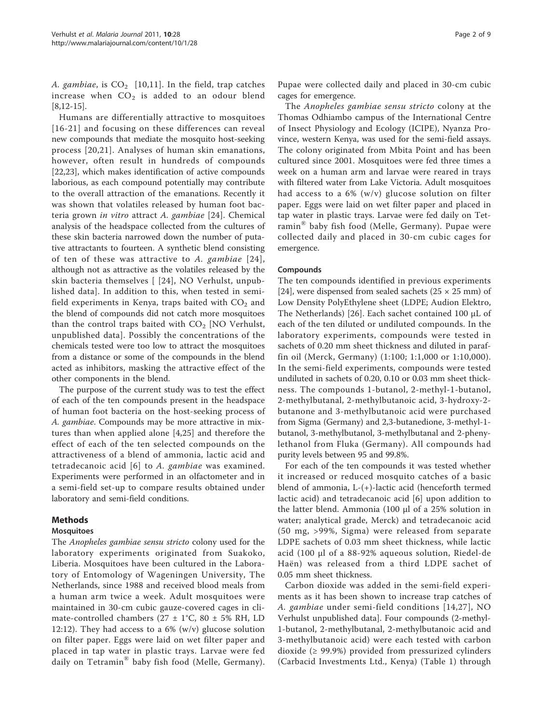A. gambiae, is  $CO<sub>2</sub>$  [[10](#page-7-0),[11](#page-7-0)]. In the field, trap catches increase when  $CO<sub>2</sub>$  is added to an odour blend  $[8,12-15]$  $[8,12-15]$ .

Humans are differentially attractive to mosquitoes [[16-21](#page-7-0)] and focusing on these differences can reveal new compounds that mediate the mosquito host-seeking process [\[20,21\]](#page-7-0). Analyses of human skin emanations, however, often result in hundreds of compounds [[22,23\]](#page-7-0), which makes identification of active compounds laborious, as each compound potentially may contribute to the overall attraction of the emanations. Recently it was shown that volatiles released by human foot bacteria grown in vitro attract A. gambiae [\[24\]](#page-7-0). Chemical analysis of the headspace collected from the cultures of these skin bacteria narrowed down the number of putative attractants to fourteen. A synthetic blend consisting of ten of these was attractive to A. gambiae [[24\]](#page-7-0), although not as attractive as the volatiles released by the skin bacteria themselves [ [[24](#page-7-0)], NO Verhulst, unpublished data]. In addition to this, when tested in semifield experiments in Kenya, traps baited with  $CO<sub>2</sub>$  and the blend of compounds did not catch more mosquitoes than the control traps baited with  $CO<sub>2</sub>$  [NO Verhulst, unpublished data]. Possibly the concentrations of the chemicals tested were too low to attract the mosquitoes from a distance or some of the compounds in the blend acted as inhibitors, masking the attractive effect of the other components in the blend.

The purpose of the current study was to test the effect of each of the ten compounds present in the headspace of human foot bacteria on the host-seeking process of A. gambiae. Compounds may be more attractive in mixtures than when applied alone [[4,](#page-7-0)[25](#page-8-0)] and therefore the effect of each of the ten selected compounds on the attractiveness of a blend of ammonia, lactic acid and tetradecanoic acid [[6](#page-7-0)] to A. gambiae was examined. Experiments were performed in an olfactometer and in a semi-field set-up to compare results obtained under laboratory and semi-field conditions.

## Methods

#### **Mosquitoes**

The Anopheles gambiae sensu stricto colony used for the laboratory experiments originated from Suakoko, Liberia. Mosquitoes have been cultured in the Laboratory of Entomology of Wageningen University, The Netherlands, since 1988 and received blood meals from a human arm twice a week. Adult mosquitoes were maintained in 30-cm cubic gauze-covered cages in climate-controlled chambers ( $27 \pm 1$ °C,  $80 \pm 5$ % RH, LD 12:12). They had access to a 6% (w/v) glucose solution on filter paper. Eggs were laid on wet filter paper and placed in tap water in plastic trays. Larvae were fed daily on Tetramin® baby fish food (Melle, Germany).

Pupae were collected daily and placed in 30-cm cubic cages for emergence.

The Anopheles gambiae sensu stricto colony at the Thomas Odhiambo campus of the International Centre of Insect Physiology and Ecology (ICIPE), Nyanza Province, western Kenya, was used for the semi-field assays. The colony originated from Mbita Point and has been cultured since 2001. Mosquitoes were fed three times a week on a human arm and larvae were reared in trays with filtered water from Lake Victoria. Adult mosquitoes had access to a 6% (w/v) glucose solution on filter paper. Eggs were laid on wet filter paper and placed in tap water in plastic trays. Larvae were fed daily on Tetramin® baby fish food (Melle, Germany). Pupae were collected daily and placed in 30-cm cubic cages for emergence.

#### Compounds

The ten compounds identified in previous experiments [[24\]](#page-7-0), were dispensed from sealed sachets ( $25 \times 25$  mm) of Low Density PolyEthylene sheet (LDPE; Audion Elektro, The Netherlands) [\[26\]](#page-8-0). Each sachet contained 100 μL of each of the ten diluted or undiluted compounds. In the laboratory experiments, compounds were tested in sachets of 0.20 mm sheet thickness and diluted in paraffin oil (Merck, Germany) (1:100; 1:1,000 or 1:10,000). In the semi-field experiments, compounds were tested undiluted in sachets of 0.20, 0.10 or 0.03 mm sheet thickness. The compounds 1-butanol, 2-methyl-1-butanol, 2-methylbutanal, 2-methylbutanoic acid, 3-hydroxy-2 butanone and 3-methylbutanoic acid were purchased from Sigma (Germany) and 2,3-butanedione, 3-methyl-1 butanol, 3-methylbutanol, 3-methylbutanal and 2-phenylethanol from Fluka (Germany). All compounds had purity levels between 95 and 99.8%.

For each of the ten compounds it was tested whether it increased or reduced mosquito catches of a basic blend of ammonia, L-(+)-lactic acid (henceforth termed lactic acid) and tetradecanoic acid [[6\]](#page-7-0) upon addition to the latter blend. Ammonia (100 μl of a 25% solution in water; analytical grade, Merck) and tetradecanoic acid (50 mg, >99%, Sigma) were released from separate LDPE sachets of 0.03 mm sheet thickness, while lactic acid (100 μl of a 88-92% aqueous solution, Riedel-de Haën) was released from a third LDPE sachet of 0.05 mm sheet thickness.

Carbon dioxide was added in the semi-field experiments as it has been shown to increase trap catches of A. gambiae under semi-field conditions [[14](#page-7-0),[27](#page-8-0)], NO Verhulst unpublished data]. Four compounds (2-methyl-1-butanol, 2-methylbutanal, 2-methylbutanoic acid and 3-methylbutanoic acid) were each tested with carbon dioxide (≥ 99.9%) provided from pressurized cylinders (Carbacid Investments Ltd., Kenya) (Table [1\)](#page-2-0) through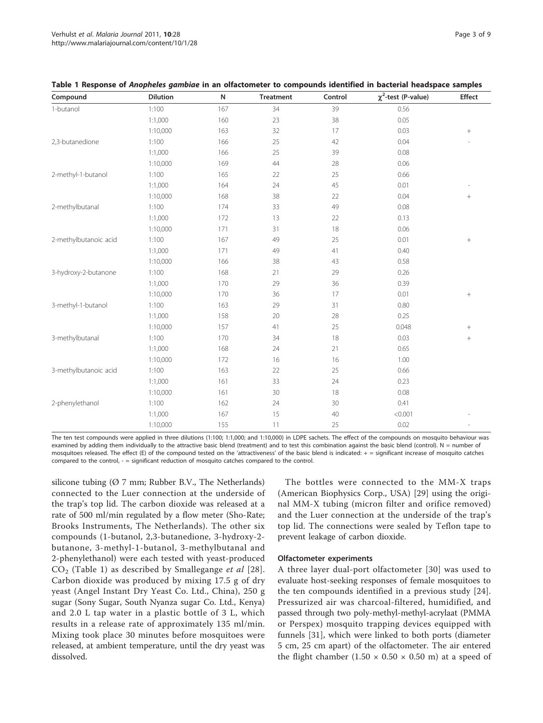| Compound              | <b>Dilution</b> | N   | <b>Treatment</b> | Control | $\chi^2$ -test (P-value) | <b>Effect</b>    |
|-----------------------|-----------------|-----|------------------|---------|--------------------------|------------------|
| 1-butanol             | 1:100           | 167 | 34               | 39      | 0.56                     |                  |
|                       | 1:1,000         | 160 | 23               | 38      | 0.05                     |                  |
|                       | 1:10,000        | 163 | 32               | 17      | 0.03                     | $^+$             |
| 2,3-butanedione       | 1:100           | 166 | 25               | 42      | 0.04                     |                  |
|                       | 1:1,000         | 166 | 25               | 39      | 0.08                     |                  |
|                       | 1:10,000        | 169 | 44               | 28      | 0.06                     |                  |
| 2-methyl-1-butanol    | 1:100           | 165 | 22               | 25      | 0.66                     |                  |
|                       | 1:1,000         | 164 | 24               | 45      | 0.01                     |                  |
|                       | 1:10,000        | 168 | 38               | 22      | 0.04                     | $\boldsymbol{+}$ |
| 2-methylbutanal       | 1:100           | 174 | 33               | 49      | 0.08                     |                  |
|                       | 1:1,000         | 172 | 13               | 22      | 0.13                     |                  |
|                       | 1:10,000        | 171 | 31               | 18      | 0.06                     |                  |
| 2-methylbutanoic acid | 1:100           | 167 | 49               | 25      | 0.01                     | $\! + \!\!\!\!$  |
|                       | 1:1,000         | 171 | 49               | 41      | 0.40                     |                  |
|                       | 1:10,000        | 166 | 38               | 43      | 0.58                     |                  |
| 3-hydroxy-2-butanone  | 1:100           | 168 | 21               | 29      | 0.26                     |                  |
|                       | 1:1,000         | 170 | 29               | 36      | 0.39                     |                  |
|                       | 1:10,000        | 170 | 36               | 17      | 0.01                     | $\! + \!\!\!\!$  |
| 3-methyl-1-butanol    | 1:100           | 163 | 29               | 31      | 0.80                     |                  |
|                       | 1:1,000         | 158 | 20               | 28      | 0.25                     |                  |
|                       | 1:10,000        | 157 | 41               | 25      | 0.048                    |                  |
| 3-methylbutanal       | 1:100           | 170 | 34               | 18      | 0.03                     | $^{+}$           |
|                       | 1:1,000         | 168 | 24               | 21      | 0.65                     |                  |
|                       | 1:10,000        | 172 | 16               | 16      | 1.00                     |                  |
| 3-methylbutanoic acid | 1:100           | 163 | 22               | 25      | 0.66                     |                  |
|                       | 1:1,000         | 161 | 33               | 24      | 0.23                     |                  |
|                       | 1:10,000        | 161 | 30               | 18      | 0.08                     |                  |
| 2-phenylethanol       | 1:100           | 162 | 24               | 30      | 0.41                     |                  |
|                       | 1:1,000         | 167 | 15               | 40      | < 0.001                  |                  |
|                       | 1:10,000        | 155 | 11               | 25      | 0.02                     |                  |

<span id="page-2-0"></span>

|  |  |  |  | Table 1 Response of Anopheles gambiae in an olfactometer to compounds identified in bacterial headspace samples |  |  |  |  |  |
|--|--|--|--|-----------------------------------------------------------------------------------------------------------------|--|--|--|--|--|
|--|--|--|--|-----------------------------------------------------------------------------------------------------------------|--|--|--|--|--|

The ten test compounds were applied in three dilutions (1:100; 1:1,000; and 1:10,000) in LDPE sachets. The effect of the compounds on mosquito behaviour was examined by adding them individually to the attractive basic blend (treatment) and to test this combination against the basic blend (control). N = number of mosquitoes released. The effect (E) of the compound tested on the 'attractiveness' of the basic blend is indicated:  $+$  = significant increase of mosquito catches compared to the control, - = significant reduction of mosquito catches compared to the control.

silicone tubing  $(Ø 7$  mm; Rubber B.V., The Netherlands) connected to the Luer connection at the underside of the trap's top lid. The carbon dioxide was released at a rate of 500 ml/min regulated by a flow meter (Sho-Rate; Brooks Instruments, The Netherlands). The other six compounds (1-butanol, 2,3-butanedione, 3-hydroxy-2 butanone, 3-methyl-1-butanol, 3-methylbutanal and 2-phenylethanol) were each tested with yeast-produced  $CO<sub>2</sub>$  (Table 1) as described by Smallegange et al [[28](#page-8-0)]. Carbon dioxide was produced by mixing 17.5 g of dry yeast (Angel Instant Dry Yeast Co. Ltd., China), 250 g sugar (Sony Sugar, South Nyanza sugar Co. Ltd., Kenya) and 2.0 L tap water in a plastic bottle of 3 L, which results in a release rate of approximately 135 ml/min. Mixing took place 30 minutes before mosquitoes were released, at ambient temperature, until the dry yeast was dissolved.

The bottles were connected to the MM-X traps (American Biophysics Corp., USA) [\[29](#page-8-0)] using the original MM-X tubing (micron filter and orifice removed) and the Luer connection at the underside of the trap's top lid. The connections were sealed by Teflon tape to prevent leakage of carbon dioxide.

#### Olfactometer experiments

A three layer dual-port olfactometer [[30\]](#page-8-0) was used to evaluate host-seeking responses of female mosquitoes to the ten compounds identified in a previous study [[24](#page-7-0)]. Pressurized air was charcoal-filtered, humidified, and passed through two poly-methyl-methyl-acrylaat (PMMA or Perspex) mosquito trapping devices equipped with funnels [[31](#page-8-0)], which were linked to both ports (diameter 5 cm, 25 cm apart) of the olfactometer. The air entered the flight chamber  $(1.50 \times 0.50 \times 0.50 \text{ m})$  at a speed of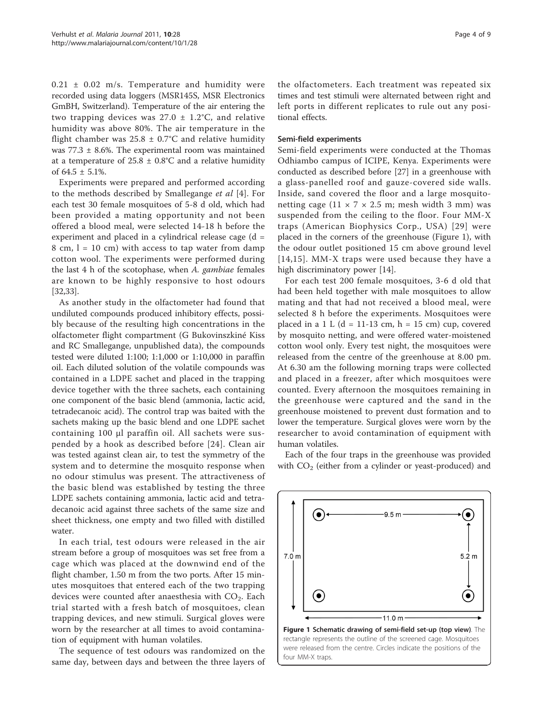$0.21 \pm 0.02$  m/s. Temperature and humidity were recorded using data loggers (MSR145S, MSR Electronics GmBH, Switzerland). Temperature of the air entering the two trapping devices was  $27.0 \pm 1.2$ °C, and relative humidity was above 80%. The air temperature in the flight chamber was  $25.8 \pm 0.7$ °C and relative humidity was  $77.3 \pm 8.6$ %. The experimental room was maintained at a temperature of  $25.8 \pm 0.8$ °C and a relative humidity of  $64.5 \pm 5.1\%$ .

Experiments were prepared and performed according to the methods described by Smallegange et al [\[4](#page-7-0)]. For each test 30 female mosquitoes of 5-8 d old, which had been provided a mating opportunity and not been offered a blood meal, were selected 14-18 h before the experiment and placed in a cylindrical release cage (d =  $8$  cm,  $l = 10$  cm) with access to tap water from damp cotton wool. The experiments were performed during the last 4 h of the scotophase, when A. gambiae females are known to be highly responsive to host odours [[32,33\]](#page-8-0).

As another study in the olfactometer had found that undiluted compounds produced inhibitory effects, possibly because of the resulting high concentrations in the olfactometer flight compartment (G Bukovinszkiné Kiss and RC Smallegange, unpublished data), the compounds tested were diluted 1:100; 1:1,000 or 1:10,000 in paraffin oil. Each diluted solution of the volatile compounds was contained in a LDPE sachet and placed in the trapping device together with the three sachets, each containing one component of the basic blend (ammonia, lactic acid, tetradecanoic acid). The control trap was baited with the sachets making up the basic blend and one LDPE sachet containing 100 μl paraffin oil. All sachets were suspended by a hook as described before [[24](#page-7-0)]. Clean air was tested against clean air, to test the symmetry of the system and to determine the mosquito response when no odour stimulus was present. The attractiveness of the basic blend was established by testing the three LDPE sachets containing ammonia, lactic acid and tetradecanoic acid against three sachets of the same size and sheet thickness, one empty and two filled with distilled water.

In each trial, test odours were released in the air stream before a group of mosquitoes was set free from a cage which was placed at the downwind end of the flight chamber, 1.50 m from the two ports. After 15 minutes mosquitoes that entered each of the two trapping devices were counted after anaesthesia with  $CO<sub>2</sub>$ . Each trial started with a fresh batch of mosquitoes, clean trapping devices, and new stimuli. Surgical gloves were worn by the researcher at all times to avoid contamination of equipment with human volatiles.

The sequence of test odours was randomized on the same day, between days and between the three layers of

the olfactometers. Each treatment was repeated six times and test stimuli were alternated between right and left ports in different replicates to rule out any positional effects.

#### Semi-field experiments

Semi-field experiments were conducted at the Thomas Odhiambo campus of ICIPE, Kenya. Experiments were conducted as described before [[27\]](#page-8-0) in a greenhouse with a glass-panelled roof and gauze-covered side walls. Inside, sand covered the floor and a large mosquitonetting cage (11  $\times$  7  $\times$  2.5 m; mesh width 3 mm) was suspended from the ceiling to the floor. Four MM-X traps (American Biophysics Corp., USA) [[29\]](#page-8-0) were placed in the corners of the greenhouse (Figure 1), with the odour outlet positioned 15 cm above ground level [[14,15\]](#page-7-0). MM-X traps were used because they have a high discriminatory power [\[14](#page-7-0)].

For each test 200 female mosquitoes, 3-6 d old that had been held together with male mosquitoes to allow mating and that had not received a blood meal, were selected 8 h before the experiments. Mosquitoes were placed in a 1 L (d = 11-13 cm, h = 15 cm) cup, covered by mosquito netting, and were offered water-moistened cotton wool only. Every test night, the mosquitoes were released from the centre of the greenhouse at 8.00 pm. At 6.30 am the following morning traps were collected and placed in a freezer, after which mosquitoes were counted. Every afternoon the mosquitoes remaining in the greenhouse were captured and the sand in the greenhouse moistened to prevent dust formation and to lower the temperature. Surgical gloves were worn by the researcher to avoid contamination of equipment with human volatiles.

Each of the four traps in the greenhouse was provided with  $CO<sub>2</sub>$  (either from a cylinder or yeast-produced) and

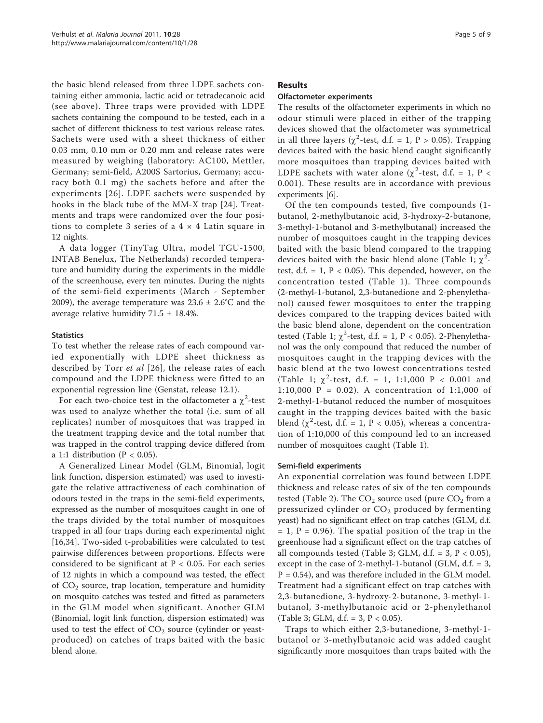the basic blend released from three LDPE sachets containing either ammonia, lactic acid or tetradecanoic acid (see above). Three traps were provided with LDPE sachets containing the compound to be tested, each in a sachet of different thickness to test various release rates. Sachets were used with a sheet thickness of either 0.03 mm, 0.10 mm or 0.20 mm and release rates were measured by weighing (laboratory: AC100, Mettler, Germany; semi-field, A200S Sartorius, Germany; accuracy both 0.1 mg) the sachets before and after the experiments [[26\]](#page-8-0). LDPE sachets were suspended by hooks in the black tube of the MM-X trap [[24](#page-7-0)]. Treatments and traps were randomized over the four positions to complete 3 series of a  $4 \times 4$  Latin square in 12 nights.

A data logger (TinyTag Ultra, model TGU-1500, INTAB Benelux, The Netherlands) recorded temperature and humidity during the experiments in the middle of the screenhouse, every ten minutes. During the nights of the semi-field experiments (March - September 2009), the average temperature was  $23.6 \pm 2.6^{\circ}$ C and the average relative humidity 71.5 ± 18.4%.

## **Statistics**

To test whether the release rates of each compound varied exponentially with LDPE sheet thickness as described by Torr et al [[26\]](#page-8-0), the release rates of each compound and the LDPE thickness were fitted to an exponential regression line (Genstat, release 12.1).

For each two-choice test in the olfactometer a  $\chi^2$ -test was used to analyze whether the total (i.e. sum of all replicates) number of mosquitoes that was trapped in the treatment trapping device and the total number that was trapped in the control trapping device differed from a 1:1 distribution ( $P < 0.05$ ).

A Generalized Linear Model (GLM, Binomial, logit link function, dispersion estimated) was used to investigate the relative attractiveness of each combination of odours tested in the traps in the semi-field experiments, expressed as the number of mosquitoes caught in one of the traps divided by the total number of mosquitoes trapped in all four traps during each experimental night [[16,](#page-7-0)[34\]](#page-8-0). Two-sided t-probabilities were calculated to test pairwise differences between proportions. Effects were considered to be significant at  $P < 0.05$ . For each series of 12 nights in which a compound was tested, the effect of  $CO<sub>2</sub>$  source, trap location, temperature and humidity on mosquito catches was tested and fitted as parameters in the GLM model when significant. Another GLM (Binomial, logit link function, dispersion estimated) was used to test the effect of  $CO<sub>2</sub>$  source (cylinder or yeastproduced) on catches of traps baited with the basic blend alone.

## **Results**

## Olfactometer experiments

The results of the olfactometer experiments in which no odour stimuli were placed in either of the trapping devices showed that the olfactometer was symmetrical in all three layers ( $\chi^2$ -test, d.f. = 1, P > 0.05). Trapping devices baited with the basic blend caught significantly more mosquitoes than trapping devices baited with LDPE sachets with water alone  $(\chi^2$ -test, d.f. = 1, P < 0.001). These results are in accordance with previous experiments [[6\]](#page-7-0).

Of the ten compounds tested, five compounds (1 butanol, 2-methylbutanoic acid, 3-hydroxy-2-butanone, 3-methyl-1-butanol and 3-methylbutanal) increased the number of mosquitoes caught in the trapping devices baited with the basic blend compared to the trapping devices baited with the basic blend alone (Table [1;](#page-2-0)  $\chi^2$ test, d.f. = 1,  $P$  < 0.05). This depended, however, on the concentration tested (Table [1](#page-2-0)). Three compounds (2-methyl-1-butanol, 2,3-butanedione and 2-phenylethanol) caused fewer mosquitoes to enter the trapping devices compared to the trapping devices baited with the basic blend alone, dependent on the concentration tested (Table [1](#page-2-0);  $\chi^2$ -test, d.f. = 1, P < 0.05). 2-Phenylethanol was the only compound that reduced the number of mosquitoes caught in the trapping devices with the basic blend at the two lowest concentrations tested (Table [1](#page-2-0);  $\chi^2$ -test, d.f. = 1, 1:1,000 P < 0.001 and 1:10,000 P = 0.02). A concentration of 1:1,000 of 2-methyl-1-butanol reduced the number of mosquitoes caught in the trapping devices baited with the basic blend ( $\chi^2$ -test, d.f. = 1, P < 0.05), whereas a concentration of 1:10,000 of this compound led to an increased number of mosquitoes caught (Table [1](#page-2-0)).

## Semi-field experiments

An exponential correlation was found between LDPE thickness and release rates of six of the ten compounds tested (Table [2](#page-5-0)). The  $CO<sub>2</sub>$  source used (pure  $CO<sub>2</sub>$  from a pressurized cylinder or  $CO<sub>2</sub>$  produced by fermenting yeast) had no significant effect on trap catches (GLM, d.f.  $= 1$ ,  $P = 0.96$ ). The spatial position of the trap in the greenhouse had a significant effect on the trap catches of all compounds tested (Table [3;](#page-5-0) GLM, d.f. = 3,  $P < 0.05$ ), except in the case of 2-methyl-1-butanol (GLM,  $d.f. = 3$ ,  $P = 0.54$ ), and was therefore included in the GLM model. Treatment had a significant effect on trap catches with 2,3-butanedione, 3-hydroxy-2-butanone, 3-methyl-1 butanol, 3-methylbutanoic acid or 2-phenylethanol (Table [3](#page-5-0); GLM, d.f. = 3,  $P < 0.05$ ).

Traps to which either 2,3-butanedione, 3-methyl-1 butanol or 3-methylbutanoic acid was added caught significantly more mosquitoes than traps baited with the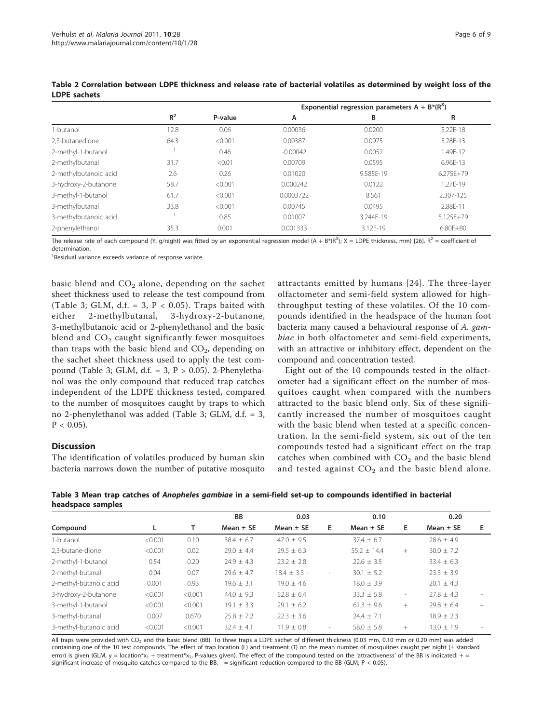|                       |       |         | Exponential regression parameters $A + B^*(R^X)$ |           |              |  |  |  |
|-----------------------|-------|---------|--------------------------------------------------|-----------|--------------|--|--|--|
|                       | $R^2$ | P-value | А                                                | в         | R            |  |  |  |
| 1-butanol             | 12.8  | 0.06    | 0.00036                                          | 0.0200    | 5.22E-18     |  |  |  |
| 2.3-butanedione       | 64.3  | < 0.001 | 0.00387                                          | 0.0975    | 5.28E-13     |  |  |  |
| 2-methyl-1-butanol    |       | 0.46    | $-0.00042$                                       | 0.0052    | 1.49E-12     |  |  |  |
| 2-methylbutanal       | 31.7  | < 0.01  | 0.00709                                          | 0.0595    | 6.96E-13     |  |  |  |
| 2-methylbutanoic acid | 2.6   | 0.26    | 0.01020                                          | 9.585E-19 | $6.275E+79$  |  |  |  |
| 3-hydroxy-2-butanone  | 58.7  | < 0.001 | 0.000242                                         | 0.0122    | 1.27F-19     |  |  |  |
| 3-methyl-1-butanol    | 61.7  | < 0.001 | 0.0003722                                        | 8.561     | 2.307-125    |  |  |  |
| 3-methylbutanal       | 33.8  | < 0.001 | 0.00745                                          | 0.0495    | 2.88E-11     |  |  |  |
| 3-methylbutanoic acid |       | 0.85    | 0.01007                                          | 3.244E-19 | 5.125E+79    |  |  |  |
| 2-phenylethanol       | 35.3  | 0.001   | 0.001333                                         | 3.12E-19  | $6.80E + 80$ |  |  |  |

<span id="page-5-0"></span>Table 2 Correlation between LDPE thickness and release rate of bacterial volatiles as determined by weight loss of the LDPE sachets

The release rate of each compound (Y, g/night) was fitted by an exponential regression model (A + B\*(R<sup>X</sup>); X = LDPE thickness, mm) [[26](#page-8-0)]. R<sup>2</sup> = coefficient of determination.

<sup>1</sup> Residual variance exceeds variance of response variate.

basic blend and  $CO<sub>2</sub>$  alone, depending on the sachet sheet thickness used to release the test compound from (Table 3; GLM, d.f. = 3,  $P < 0.05$ ). Traps baited with either 2-methylbutanal, 3-hydroxy-2-butanone, 3-methylbutanoic acid or 2-phenylethanol and the basic blend and  $CO<sub>2</sub>$  caught significantly fewer mosquitoes than traps with the basic blend and  $CO<sub>2</sub>$ , depending on the sachet sheet thickness used to apply the test compound (Table 3; GLM, d.f.  $= 3$ ,  $P > 0.05$ ). 2-Phenylethanol was the only compound that reduced trap catches independent of the LDPE thickness tested, compared to the number of mosquitoes caught by traps to which no 2-phenylethanol was added (Table 3; GLM, d.f. = 3,  $P < 0.05$ ).

## **Discussion**

The identification of volatiles produced by human skin bacteria narrows down the number of putative mosquito

attractants emitted by humans [[24\]](#page-7-0). The three-layer olfactometer and semi-field system allowed for highthroughput testing of these volatiles. Of the 10 compounds identified in the headspace of the human foot bacteria many caused a behavioural response of A. gambiae in both olfactometer and semi-field experiments, with an attractive or inhibitory effect, dependent on the compound and concentration tested.

Eight out of the 10 compounds tested in the olfactometer had a significant effect on the number of mosquitoes caught when compared with the numbers attracted to the basic blend only. Six of these significantly increased the number of mosquitoes caught with the basic blend when tested at a specific concentration. In the semi-field system, six out of the ten compounds tested had a significant effect on the trap catches when combined with  $CO<sub>2</sub>$  and the basic blend and tested against  $CO<sub>2</sub>$  and the basic blend alone.

Table 3 Mean trap catches of Anopheles gambiae in a semi-field set-up to compounds identified in bacterial headspace samples

|                        |         |         | <b>BB</b>      | 0.03             |                          | 0.10            |                          | 0.20           |                          |
|------------------------|---------|---------|----------------|------------------|--------------------------|-----------------|--------------------------|----------------|--------------------------|
| Compound               |         | т       | Mean $\pm$ SE  | Mean $\pm$ SE    | Е                        | Mean $\pm$ SE   | E.                       | Mean $\pm$ SE  | Е                        |
| 1-butanol              | < 0.001 | 0.10    | $38.4 \pm 6.7$ | $47.0 + 9.5$     |                          | $37.4 \pm 6.7$  |                          | $28.6 \pm 4.9$ |                          |
| 2.3-butane-dione       | < 0.001 | 0.02    | $29.0 \pm 4.4$ | $29.5 \pm 6.3$   |                          | $55.2 \pm 14.4$ | $^{+}$                   | $30.0 \pm 7.2$ |                          |
| 2-methyl-1-butanol     | 0.54    | 0.20    | $24.9 \pm 4.3$ | $23.2 \pm 2.8$   |                          | $22.6 \pm 3.5$  |                          | $33.4 \pm 6.3$ |                          |
| 2-methyl-butanal       | 0.04    | 0.07    | $29.6 \pm 4.7$ | $18.4 \pm 3.3$ - | $\overline{\phantom{a}}$ | $30.1 \pm 5.2$  |                          | $23.3 \pm 3.9$ |                          |
| 2-methyl-butanoic acid | 0.001   | 0.93    | $19.6 \pm 3.1$ | $19.0 + 4.6$     |                          | $18.0 \pm 3.9$  |                          | $20.1 + 4.3$   |                          |
| 3-hydroxy-2-butanone   | < 0.001 | < 0.001 | $44.0 \pm 9.3$ | $52.8 \pm 6.4$   |                          | $33.3 \pm 5.8$  | $\overline{\phantom{a}}$ | $27.8 \pm 4.3$ | $\overline{\phantom{a}}$ |
| 3-methyl-1-butanol     | < 0.001 | < 0.001 | $19.1 \pm 3.3$ | $29.1 + 6.2$     |                          | $61.3 \pm 9.6$  | $^{+}$                   | $79.8 + 6.4$   | $+$                      |
| 3-methyl-butanal       | 0.007   | 0.670   | $25.8 \pm 7.2$ | $22.3 \pm 3.6$   |                          | $24.4 \pm 7.1$  |                          | $18.9 \pm 2.3$ |                          |
| 3-methyl-butanoic acid | < 0.001 | < 0.001 | $32.4 \pm 4.1$ | $11.9 \pm 0.8$   | $\overline{\phantom{a}}$ | $58.0 \pm 5.8$  | $^{+}$                   | $13.0 \pm 1.9$ | $\sim$                   |

All traps were provided with CO<sub>2</sub> and the basic blend (BB). To three traps a LDPE sachet of different thickness (0.03 mm, 0.10 mm or 0.20 mm) was added containing one of the 10 test compounds. The effect of trap location (L) and treatment (T) on the mean number of mosquitoes caught per night (± standard error) is given (GLM,  $y =$  location\* $x_1 +$  treatment\* $x_2$ , P-values given). The effect of the compound tested on the 'attractiveness' of the BB is indicated: + = significant increase of mosquito catches compared to the BB,  $-$  = significant reduction compared to the BB (GLM,  $P < 0.05$ ).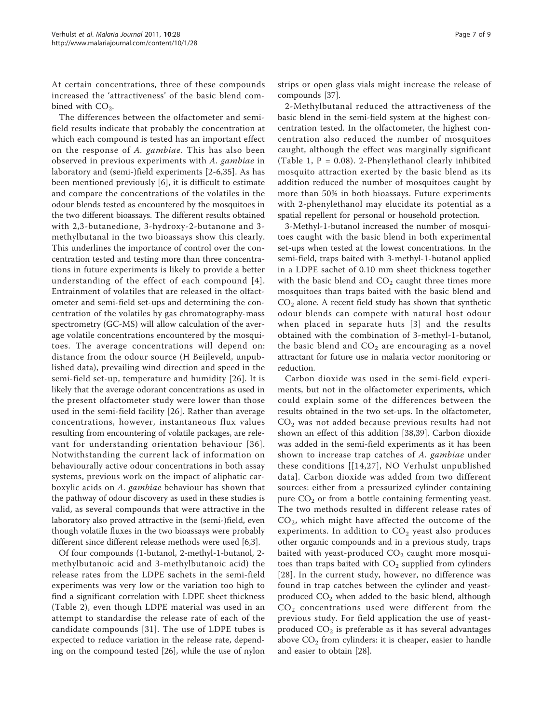At certain concentrations, three of these compounds increased the 'attractiveness' of the basic blend combined with  $CO<sub>2</sub>$ .

The differences between the olfactometer and semifield results indicate that probably the concentration at which each compound is tested has an important effect on the response of A. gambiae. This has also been observed in previous experiments with A. gambiae in laboratory and (semi-)field experiments [[2-6](#page-7-0),[35\]](#page-8-0). As has been mentioned previously [\[6\]](#page-7-0), it is difficult to estimate and compare the concentrations of the volatiles in the odour blends tested as encountered by the mosquitoes in the two different bioassays. The different results obtained with 2,3-butanedione, 3-hydroxy-2-butanone and 3 methylbutanal in the two bioassays show this clearly. This underlines the importance of control over the concentration tested and testing more than three concentrations in future experiments is likely to provide a better understanding of the effect of each compound [[4\]](#page-7-0). Entrainment of volatiles that are released in the olfactometer and semi-field set-ups and determining the concentration of the volatiles by gas chromatography-mass spectrometry (GC-MS) will allow calculation of the average volatile concentrations encountered by the mosquitoes. The average concentrations will depend on: distance from the odour source (H Beijleveld, unpublished data), prevailing wind direction and speed in the semi-field set-up, temperature and humidity [[26](#page-8-0)]. It is likely that the average odorant concentrations as used in the present olfactometer study were lower than those used in the semi-field facility [[26](#page-8-0)]. Rather than average concentrations, however, instantaneous flux values resulting from encountering of volatile packages, are relevant for understanding orientation behaviour [[36\]](#page-8-0). Notwithstanding the current lack of information on behaviourally active odour concentrations in both assay systems, previous work on the impact of aliphatic carboxylic acids on A. gambiae behaviour has shown that the pathway of odour discovery as used in these studies is valid, as several compounds that were attractive in the laboratory also proved attractive in the (semi-)field, even though volatile fluxes in the two bioassays were probably different since different release methods were used [\[6,3](#page-7-0)].

Of four compounds (1-butanol, 2-methyl-1-butanol, 2 methylbutanoic acid and 3-methylbutanoic acid) the release rates from the LDPE sachets in the semi-field experiments was very low or the variation too high to find a significant correlation with LDPE sheet thickness (Table [2\)](#page-5-0), even though LDPE material was used in an attempt to standardise the release rate of each of the candidate compounds [[31](#page-8-0)]. The use of LDPE tubes is expected to reduce variation in the release rate, depending on the compound tested [\[26\]](#page-8-0), while the use of nylon strips or open glass vials might increase the release of compounds [[37](#page-8-0)].

2-Methylbutanal reduced the attractiveness of the basic blend in the semi-field system at the highest concentration tested. In the olfactometer, the highest concentration also reduced the number of mosquitoes caught, although the effect was marginally significant (Table [1](#page-2-0),  $P = 0.08$ ). 2-Phenylethanol clearly inhibited mosquito attraction exerted by the basic blend as its addition reduced the number of mosquitoes caught by more than 50% in both bioassays. Future experiments with 2-phenylethanol may elucidate its potential as a spatial repellent for personal or household protection.

3-Methyl-1-butanol increased the number of mosquitoes caught with the basic blend in both experimental set-ups when tested at the lowest concentrations. In the semi-field, traps baited with 3-methyl-1-butanol applied in a LDPE sachet of 0.10 mm sheet thickness together with the basic blend and  $CO<sub>2</sub>$  caught three times more mosquitoes than traps baited with the basic blend and  $CO<sub>2</sub>$  alone. A recent field study has shown that synthetic odour blends can compete with natural host odour when placed in separate huts [[3\]](#page-7-0) and the results obtained with the combination of 3-methyl-1-butanol, the basic blend and  $CO<sub>2</sub>$  are encouraging as a novel attractant for future use in malaria vector monitoring or reduction.

Carbon dioxide was used in the semi-field experiments, but not in the olfactometer experiments, which could explain some of the differences between the results obtained in the two set-ups. In the olfactometer,  $CO<sub>2</sub>$  was not added because previous results had not shown an effect of this addition [[38,39\]](#page-8-0). Carbon dioxide was added in the semi-field experiments as it has been shown to increase trap catches of A. gambiae under these conditions [[[14,](#page-7-0)[27\]](#page-8-0), NO Verhulst unpublished data]. Carbon dioxide was added from two different sources: either from a pressurized cylinder containing pure  $CO<sub>2</sub>$  or from a bottle containing fermenting yeast. The two methods resulted in different release rates of CO2, which might have affected the outcome of the experiments. In addition to  $CO<sub>2</sub>$  yeast also produces other organic compounds and in a previous study, traps baited with yeast-produced  $CO<sub>2</sub>$  caught more mosquitoes than traps baited with  $CO<sub>2</sub>$  supplied from cylinders [[28](#page-8-0)]. In the current study, however, no difference was found in trap catches between the cylinder and yeastproduced  $CO<sub>2</sub>$  when added to the basic blend, although  $CO<sub>2</sub>$  concentrations used were different from the previous study. For field application the use of yeastproduced  $CO<sub>2</sub>$  is preferable as it has several advantages above  $CO<sub>2</sub>$  from cylinders: it is cheaper, easier to handle and easier to obtain [[28\]](#page-8-0).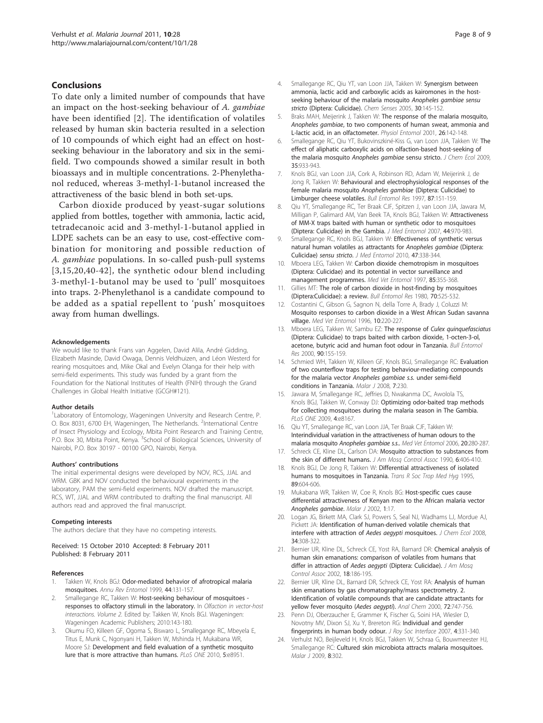#### <span id="page-7-0"></span>Conclusions

To date only a limited number of compounds that have an impact on the host-seeking behaviour of A. gambiae have been identified [2]. The identification of volatiles released by human skin bacteria resulted in a selection of 10 compounds of which eight had an effect on hostseeking behaviour in the laboratory and six in the semifield. Two compounds showed a similar result in both bioassays and in multiple concentrations. 2-Phenylethanol reduced, whereas 3-methyl-1-butanol increased the attractiveness of the basic blend in both set-ups.

Carbon dioxide produced by yeast-sugar solutions applied from bottles, together with ammonia, lactic acid, tetradecanoic acid and 3-methyl-1-butanol applied in LDPE sachets can be an easy to use, cost-effective combination for monitoring and possible reduction of A. gambiae populations. In so-called push-pull systems [3,15,20,[40-42\]](#page-8-0), the synthetic odour blend including 3-methyl-1-butanol may be used to 'pull' mosquitoes into traps. 2-Phenylethanol is a candidate compound to be added as a spatial repellent to 'push' mosquitoes away from human dwellings.

#### Acknowledgements

We would like to thank Frans van Aggelen, David Alila, André Gidding, Elizabeth Masinde, David Owaga, Dennis Veldhuizen, and Léon Westerd for rearing mosquitoes and, Mike Okal and Evelyn Olanga for their help with semi-field experiments. This study was funded by a grant from the Foundation for the National Institutes of Health (FNIH) through the Grand Challenges in Global Health Initiative (GCGH#121).

#### Author details

<sup>1</sup> Laboratory of Entomology, Wageningen University and Research Centre, P. O. Box 8031, 6700 EH, Wageningen, The Netherlands. <sup>2</sup>International Centre of Insect Physiology and Ecology, Mbita Point Research and Training Centre, P.O. Box 30, Mbita Point, Kenya. <sup>3</sup>School of Biological Sciences, University of Nairobi, P.O. Box 30197 - 00100 GPO, Nairobi, Kenya.

#### Authors' contributions

The initial experimental designs were developed by NOV, RCS, JJAL and WRM. GBK and NOV conducted the behavioural experiments in the laboratory, PAM the semi-field experiments. NOV drafted the manuscript. RCS, WT, JJAL and WRM contributed to drafting the final manuscript. All authors read and approved the final manuscript.

#### Competing interests

The authors declare that they have no competing interests.

Received: 15 October 2010 Accepted: 8 February 2011 Published: 8 February 2011

#### References

- 1. Takken W, Knols BGJ: [Odor-mediated behavior of afrotropical malaria](http://www.ncbi.nlm.nih.gov/pubmed/9990718?dopt=Abstract) [mosquitoes.](http://www.ncbi.nlm.nih.gov/pubmed/9990718?dopt=Abstract) Annu Rev Entomol 1999, 44:131-157.
- 2. Smallegange RC, Takken W: Host-seeking behaviour of mosquitoes responses to olfactory stimuli in the laboratory. In Olfaction in vector-host interactions. Volume 2. Edited by: Takken W, Knols BGJ. Wageningen: Wageningen Academic Publishers; 2010:143-180.
- 3. Okumu FO, Killeen GF, Ogoma S, Biswaro L, Smallegange RC, Mbeyela E, Titus E, Munk C, Ngonyani H, Takken W, Mshinda H, Mukabana WR, Moore SJ: [Development and field evaluation of a synthetic mosquito](http://www.ncbi.nlm.nih.gov/pubmed/20126628?dopt=Abstract) [lure that is more attractive than humans.](http://www.ncbi.nlm.nih.gov/pubmed/20126628?dopt=Abstract) PLoS ONE 2010, 5:e8951.
- 4. Smallegange RC, Qiu YT, van Loon JJA, Takken W: [Synergism between](http://www.ncbi.nlm.nih.gov/pubmed/15703334?dopt=Abstract) [ammonia, lactic acid and carboxylic acids as kairomones in the host](http://www.ncbi.nlm.nih.gov/pubmed/15703334?dopt=Abstract)[seeking behaviour of the malaria mosquito](http://www.ncbi.nlm.nih.gov/pubmed/15703334?dopt=Abstract) Anopheles gambiae sensu stricto [\(Diptera: Culicidae\).](http://www.ncbi.nlm.nih.gov/pubmed/15703334?dopt=Abstract) Chem Senses 2005, 30:145-152.
- 5. Braks MAH, Meijerink J, Takken W: The response of the malaria mosquito, Anopheles gambiae, to two components of human sweat, ammonia and L-lactic acid, in an olfactometer. Physiol Entomol 2001, 26:142-148.
- 6. Smallegange RC, Qiu YT, Bukovinszkiné-Kiss G, van Loon JJA, Takken W: [The](http://www.ncbi.nlm.nih.gov/pubmed/19626371?dopt=Abstract) [effect of aliphatic carboxylic acids on olfaction-based host-seeking of](http://www.ncbi.nlm.nih.gov/pubmed/19626371?dopt=Abstract) [the malaria mosquito](http://www.ncbi.nlm.nih.gov/pubmed/19626371?dopt=Abstract) Anopheles gambiae sensu stricto. J Chem Ecol 2009, 35:933-943.
- 7. Knols BGJ, van Loon JJA, Cork A, Robinson RD, Adam W, Meijerink J, de Jong R, Takken W: Behavioural and electrophysiological responses of the female malaria mosquito Anopheles gambiae (Diptera: Culicidae) to Limburger cheese volatiles. Bull Entomol Res 1997, 87:151-159.
- 8. Qiu YT, Smallegange RC, Ter Braak CJF, Spitzen J, van Loon JJA, Jawara M, Milligan P, Galimard AM, Van Beek TA, Knols BGJ, Takken W: [Attractiveness](http://www.ncbi.nlm.nih.gov/pubmed/18047195?dopt=Abstract) [of MM-X traps baited with human or synthetic odor to mosquitoes](http://www.ncbi.nlm.nih.gov/pubmed/18047195?dopt=Abstract) [\(Diptera: Culicidae\) in the Gambia.](http://www.ncbi.nlm.nih.gov/pubmed/18047195?dopt=Abstract) J Med Entomol 2007, 44:970-983.
- 9. Smallegange RC, Knols BGJ, Takken W: [Effectiveness of synthetic versus](http://www.ncbi.nlm.nih.gov/pubmed/20496580?dopt=Abstract) [natural human volatiles as attractants for](http://www.ncbi.nlm.nih.gov/pubmed/20496580?dopt=Abstract) Anopheles gambiae (Diptera: Culicidae) [sensu stricto](http://www.ncbi.nlm.nih.gov/pubmed/20496580?dopt=Abstract). J Med Entomol 2010, 47:338-344.
- 10. Mboera LEG, Takken W: Carbon dioxide chemotropism in mosquitoes (Diptera: Culicidae) and its potential in vector surveillance and management programmes. Med Vet Entomol 1997, 85:355-368.
- 11. Gillies MT: The role of carbon dioxide in host-finding by mosquitoes (Diptera:Culicidae): a review. Bull Entomol Res 1980, 70:525-532.
- 12. Costantini C, Gibson G, Sagnon N, della Torre A, Brady J, Coluzzi M: [Mosquito responses to carbon dioxide in a West African Sudan savanna](http://www.ncbi.nlm.nih.gov/pubmed/8887331?dopt=Abstract) [village.](http://www.ncbi.nlm.nih.gov/pubmed/8887331?dopt=Abstract) Med Vet Entomol 1996, 10:220-227.
- 13. Mboera LEG, Takken W, Sambu EZ: The response of [Culex quinquefasciatus](http://www.ncbi.nlm.nih.gov/pubmed/10948375?dopt=Abstract) [\(Diptera: Culicidae\) to traps baited with carbon dioxide, 1-octen-3-ol,](http://www.ncbi.nlm.nih.gov/pubmed/10948375?dopt=Abstract) [acetone, butyric acid and human foot odour in Tanzania.](http://www.ncbi.nlm.nih.gov/pubmed/10948375?dopt=Abstract) Bull Entomol Res 2000, 90:155-159.
- 14. Schmied WH, Takken W, Killeen GF, Knols BGJ, Smallegange RC: [Evaluation](http://www.ncbi.nlm.nih.gov/pubmed/18980669?dopt=Abstract) [of two counterflow traps for testing behaviour-mediating compounds](http://www.ncbi.nlm.nih.gov/pubmed/18980669?dopt=Abstract) for the malaria vector [Anopheles gambiae s.s.](http://www.ncbi.nlm.nih.gov/pubmed/18980669?dopt=Abstract) under semi-field [conditions in Tanzania.](http://www.ncbi.nlm.nih.gov/pubmed/18980669?dopt=Abstract) Malar J 2008, 7:230.
- 15. Jawara M, Smallegange RC, Jeffries D, Nwakanma DC, Awolola TS, Knols BGJ, Takken W, Conway DJ: [Optimizing odor-baited trap methods](http://www.ncbi.nlm.nih.gov/pubmed/19997640?dopt=Abstract) [for collecting mosquitoes during the malaria season in The Gambia.](http://www.ncbi.nlm.nih.gov/pubmed/19997640?dopt=Abstract) PLoS ONE 2009, 4:e8167.
- 16. Qiu YT, Smallegange RC, van Loon JJA, Ter Braak CJF, Takken W: [Interindividual variation in the attractiveness of human odours to the](http://www.ncbi.nlm.nih.gov/pubmed/17044878?dopt=Abstract) malaria mosquito [Anopheles gambiae s.s.](http://www.ncbi.nlm.nih.gov/pubmed/17044878?dopt=Abstract). Med Vet Entomol 2006, 20:280-287.
- 17. Schreck CE, Kline DL, Carlson DA: [Mosquito attraction to substances from](http://www.ncbi.nlm.nih.gov/pubmed/2230769?dopt=Abstract) [the skin of different humans.](http://www.ncbi.nlm.nih.gov/pubmed/2230769?dopt=Abstract) J Am Mosq Control Assoc 1990, 6:406-410.
- 18. Knols BGJ, De Jong R, Takken W: [Differential attractiveness of isolated](http://www.ncbi.nlm.nih.gov/pubmed/8594668?dopt=Abstract) [humans to mosquitoes in Tanzania.](http://www.ncbi.nlm.nih.gov/pubmed/8594668?dopt=Abstract) Trans R Soc Trop Med Hyg 1995, 89:604-606.
- 19. Mukabana WR, Takken W, Coe R, Knols BG: [Host-specific cues cause](http://www.ncbi.nlm.nih.gov/pubmed/12513703?dopt=Abstract) [differential attractiveness of Kenyan men to the African malaria vector](http://www.ncbi.nlm.nih.gov/pubmed/12513703?dopt=Abstract) [Anopheles gambiae](http://www.ncbi.nlm.nih.gov/pubmed/12513703?dopt=Abstract). Malar J 2002, 1:17.
- 20. Logan JG, Birkett MA, Clark SJ, Powers S, Seal NJ, Wadhams LJ, Mordue AJ, Pickett JA: [Identification of human-derived volatile chemicals that](http://www.ncbi.nlm.nih.gov/pubmed/18306972?dopt=Abstract) [interfere with attraction of](http://www.ncbi.nlm.nih.gov/pubmed/18306972?dopt=Abstract) Aedes aegypti mosquitoes. J Chem Ecol 2008, 34:308-322.
- 21. Bernier UR, Kline DL, Schreck CE, Yost RA, Barnard DR: [Chemical analysis of](http://www.ncbi.nlm.nih.gov/pubmed/12322940?dopt=Abstract) [human skin emanations: comparison of volatiles from humans that](http://www.ncbi.nlm.nih.gov/pubmed/12322940?dopt=Abstract) [differ in attraction of](http://www.ncbi.nlm.nih.gov/pubmed/12322940?dopt=Abstract) Aedes aegypti (Diptera: Culicidae). J Am Mosq Control Assoc 2002, 18:186-195.
- 22. Bernier UR, Kline DL, Barnard DR, Schreck CE, Yost RA: [Analysis of human](http://www.ncbi.nlm.nih.gov/pubmed/10701259?dopt=Abstract) [skin emanations by gas chromatography/mass spectrometry. 2.](http://www.ncbi.nlm.nih.gov/pubmed/10701259?dopt=Abstract) [Identification of volatile compounds that are candidate attractants for](http://www.ncbi.nlm.nih.gov/pubmed/10701259?dopt=Abstract) [yellow fever mosquito \(](http://www.ncbi.nlm.nih.gov/pubmed/10701259?dopt=Abstract)Aedes aegypti). Anal Chem 2000, 72:747-756.
- 23. Penn DJ, Oberzaucher E, Grammer K, Fischer G, Soini HA, Wiesler D, Novotny MV, Dixon SJ, Xu Y, Brereton RG: Individual and gender fingerprints in human body odour. J Roy Soc Interface 2007, 4:331-340.
- 24. Verhulst NO, Beijleveld H, Knols BGJ, Takken W, Schraa G, Bouwmeester HJ, Smallegange RC: [Cultured skin microbiota attracts malaria mosquitoes.](http://www.ncbi.nlm.nih.gov/pubmed/20017925?dopt=Abstract) Malar J 2009, 8:302.